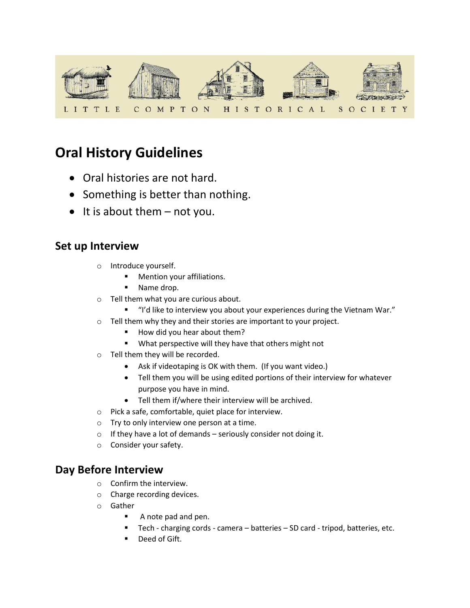

# **Oral History Guidelines**

- Oral histories are not hard.
- Something is better than nothing.
- $\bullet$  It is about them  $-$  not you.

# **Set up Interview**

- o Introduce yourself.
	- Mention your affiliations.
	- Name drop.
- o Tell them what you are curious about.
	- "I'd like to interview you about your experiences during the Vietnam War."
- o Tell them why they and their stories are important to your project.
	- How did you hear about them?
	- What perspective will they have that others might not
- o Tell them they will be recorded.
	- Ask if videotaping is OK with them. (If you want video.)
	- Tell them you will be using edited portions of their interview for whatever purpose you have in mind.
	- Tell them if/where their interview will be archived.
- o Pick a safe, comfortable, quiet place for interview.
- o Try to only interview one person at a time.
- $\circ$  If they have a lot of demands seriously consider not doing it.
- o Consider your safety.

# **Day Before Interview**

- o Confirm the interview.
- o Charge recording devices.
- o Gather
	- A note pad and pen.
	- Tech charging cords camera batteries SD card tripod, batteries, etc.
	- Deed of Gift.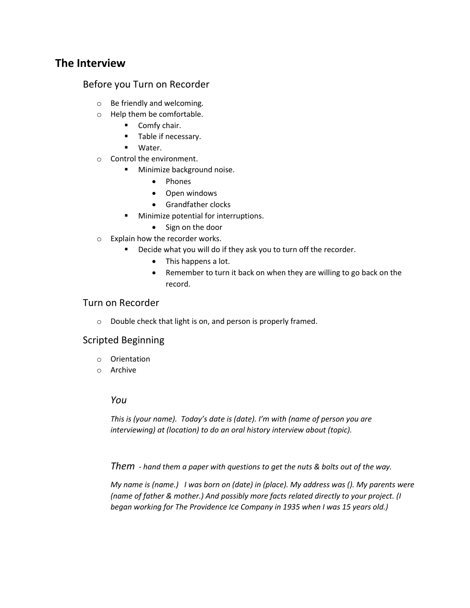# **The Interview**

#### Before you Turn on Recorder

- o Be friendly and welcoming.
- o Help them be comfortable.
	- Comfy chair.
	- Table if necessary.
	- Water.
- o Control the environment.
	- Minimize background noise.
		- Phones
		- Open windows
		- Grandfather clocks
	- Minimize potential for interruptions.
		- Sign on the door
- o Explain how the recorder works.
	- Decide what you will do if they ask you to turn off the recorder.
		- This happens a lot.
		- Remember to turn it back on when they are willing to go back on the record.

#### Turn on Recorder

o Double check that light is on, and person is properly framed.

#### Scripted Beginning

- o Orientation
- o Archive

#### *You*

*This is (your name). Today's date is (date). I'm with (name of person you are interviewing) at (location) to do an oral history interview about (topic).* 

*Them - hand them a paper with questions to get the nuts & bolts out of the way.* 

*My name is (name.) I was born on (date) in (place). My address was (). My parents were (name of father & mother.) And possibly more facts related directly to your project. (I began working for The Providence Ice Company in 1935 when I was 15 years old.)*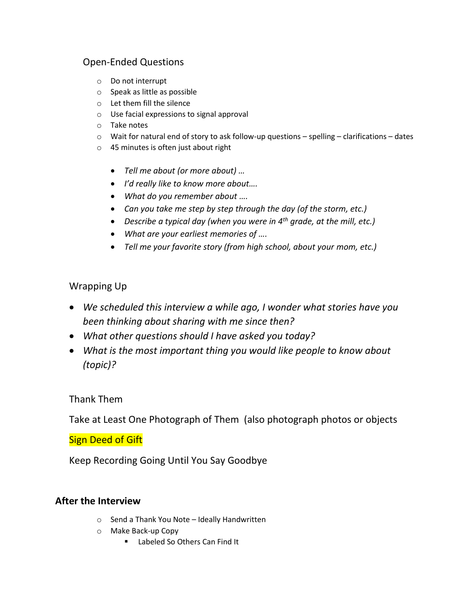# Open-Ended Questions

- o Do not interrupt
- o Speak as little as possible
- o Let them fill the silence
- o Use facial expressions to signal approval
- o Take notes
- o Wait for natural end of story to ask follow-up questions spelling clarifications dates
- o 45 minutes is often just about right
	- *Tell me about (or more about) …*
	- *I'd really like to know more about….*
	- *What do you remember about ….*
	- *Can you take me step by step through the day (of the storm, etc.)*
	- *Describe a typical day (when you were in 4th grade, at the mill, etc.)*
	- *What are your earliest memories of ….*
	- *Tell me your favorite story (from high school, about your mom, etc.)*

## Wrapping Up

- *We scheduled this interview a while ago, I wonder what stories have you been thinking about sharing with me since then?*
- *What other questions should I have asked you today?*
- *What is the most important thing you would like people to know about (topic)?*

## Thank Them

Take at Least One Photograph of Them (also photograph photos or objects

## Sign Deed of Gift

Keep Recording Going Until You Say Goodbye

## **After the Interview**

- o Send a Thank You Note Ideally Handwritten
- o Make Back-up Copy
	- Labeled So Others Can Find It